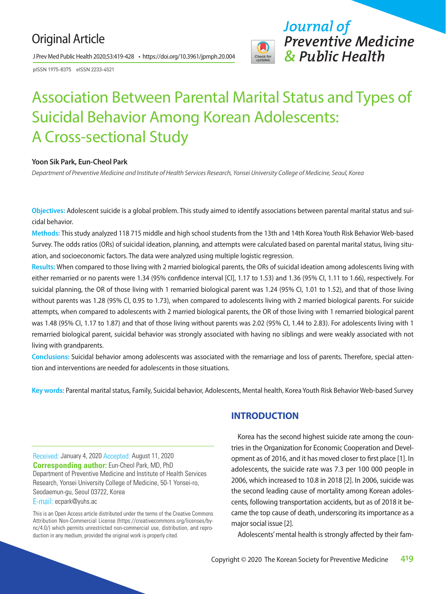### Original Article

J Prev Med Public Health 2020;53:419-428 • https://doi.org/10.3961/jpmph.20.004

pISSN 1975-8375 eISSN 2233-4521



*Journal of Preventive Medicine & Public Health*

## Association Between Parental Marital Status and Types of Suicidal Behavior Among Korean Adolescents: A Cross-sectional Study

#### **Yoon Sik Park, Eun-Cheol Park**

*Department of Preventive Medicine and Institute of Health Services Research, Yonsei University College of Medicine, Seoul, Korea*

**Objectives:** Adolescent suicide is a global problem. This study aimed to identify associations between parental marital status and suicidal behavior.

**Methods:** This study analyzed 118 715 middle and high school students from the 13th and 14th Korea Youth Risk Behavior Web-based Survey. The odds ratios (ORs) of suicidal ideation, planning, and attempts were calculated based on parental marital status, living situation, and socioeconomic factors. The data were analyzed using multiple logistic regression.

**Results:** When compared to those living with 2 married biological parents, the ORs of suicidal ideation among adolescents living with either remarried or no parents were 1.34 (95% confidence interval [CI], 1.17 to 1.53) and 1.36 (95% CI, 1.11 to 1.66), respectively. For suicidal planning, the OR of those living with 1 remarried biological parent was 1.24 (95% CI, 1.01 to 1.52), and that of those living without parents was 1.28 (95% CI, 0.95 to 1.73), when compared to adolescents living with 2 married biological parents. For suicide attempts, when compared to adolescents with 2 married biological parents, the OR of those living with 1 remarried biological parent was 1.48 (95% CI, 1.17 to 1.87) and that of those living without parents was 2.02 (95% CI, 1.44 to 2.83). For adolescents living with 1 remarried biological parent, suicidal behavior was strongly associated with having no siblings and were weakly associated with not living with grandparents.

**Conclusions:** Suicidal behavior among adolescents was associated with the remarriage and loss of parents. Therefore, special attention and interventions are needed for adolescents in those situations.

**Key words:** Parental marital status, Family, Suicidal behavior, Adolescents, Mental health, Korea Youth Risk Behavior Web-based Survey

Received: January 4, 2020 Accepted: August 11, 2020 **Corresponding author:** Eun-Cheol Park, MD, PhD Department of Preventive Medicine and Institute of Health Services Research, Yonsei University College of Medicine, 50-1 Yonsei-ro, Seodaemun-gu, Seoul 03722, Korea

E-mail: ecpark@yuhs.ac

This is an Open Access article distributed under the terms of the Creative Commons Attribution Non-Commercial License (https://creativecommons.org/licenses/bync/4.0/) which permits unrestricted non-commercial use, distribution, and reproduction in any medium, provided the original work is properly cited.

#### **INTRODUCTION**

Korea has the second highest suicide rate among the countries in the Organization for Economic Cooperation and Development as of 2016, and it has moved closer to first place [1]. In adolescents, the suicide rate was 7.3 per 100 000 people in 2006, which increased to 10.8 in 2018 [2]. In 2006, suicide was the second leading cause of mortality among Korean adolescents, following transportation accidents, but as of 2018 it became the top cause of death, underscoring its importance as a major social issue [2].

Adolescents' mental health is strongly affected by their fam-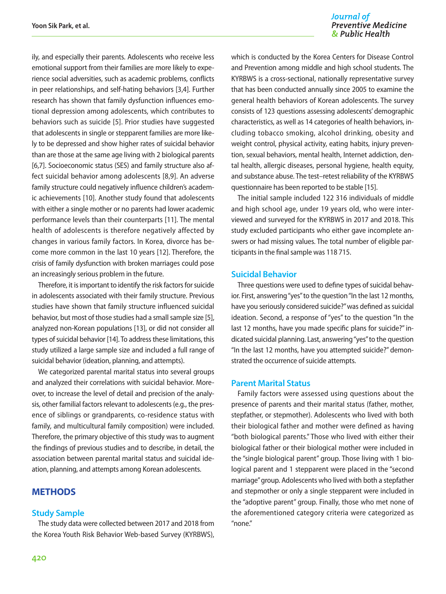#### Journal of **Preventive Medicine** & Public Health

ily, and especially their parents. Adolescents who receive less emotional support from their families are more likely to experience social adversities, such as academic problems, conflicts in peer relationships, and self-hating behaviors [3,4]. Further research has shown that family dysfunction influences emotional depression among adolescents, which contributes to behaviors such as suicide [5]. Prior studies have suggested that adolescents in single or stepparent families are more likely to be depressed and show higher rates of suicidal behavior than are those at the same age living with 2 biological parents [6,7]. Socioeconomic status (SES) and family structure also affect suicidal behavior among adolescents [8,9]. An adverse family structure could negatively influence children's academic achievements [10]. Another study found that adolescents with either a single mother or no parents had lower academic performance levels than their counterparts [11]. The mental health of adolescents is therefore negatively affected by changes in various family factors. In Korea, divorce has become more common in the last 10 years [12]. Therefore, the crisis of family dysfunction with broken marriages could pose an increasingly serious problem in the future.

Therefore, it is important to identify the risk factors for suicide in adolescents associated with their family structure. Previous studies have shown that family structure influenced suicidal behavior, but most of those studies had a small sample size [5], analyzed non-Korean populations [13], or did not consider all types of suicidal behavior [14]. To address these limitations, this study utilized a large sample size and included a full range of suicidal behavior (ideation, planning, and attempts).

We categorized parental marital status into several groups and analyzed their correlations with suicidal behavior. Moreover, to increase the level of detail and precision of the analysis, other familial factors relevant to adolescents (e.g., the presence of siblings or grandparents, co-residence status with family, and multicultural family composition) were included. Therefore, the primary objective of this study was to augment the findings of previous studies and to describe, in detail, the association between parental marital status and suicidal ideation, planning, and attempts among Korean adolescents.

#### **METHODS**

#### **Study Sample**

The study data were collected between 2017 and 2018 from the Korea Youth Risk Behavior Web-based Survey (KYRBWS),

which is conducted by the Korea Centers for Disease Control and Prevention among middle and high school students. The KYRBWS is a cross-sectional, nationally representative survey that has been conducted annually since 2005 to examine the general health behaviors of Korean adolescents. The survey consists of 123 questions assessing adolescents' demographic characteristics, as well as 14 categories of health behaviors, including tobacco smoking, alcohol drinking, obesity and weight control, physical activity, eating habits, injury prevention, sexual behaviors, mental health, Internet addiction, dental health, allergic diseases, personal hygiene, health equity, and substance abuse. The test–retest reliability of the KYRBWS questionnaire has been reported to be stable [15].

The initial sample included 122 316 individuals of middle and high school age, under 19 years old, who were interviewed and surveyed for the KYRBWS in 2017 and 2018. This study excluded participants who either gave incomplete answers or had missing values. The total number of eligible participants in the final sample was 118 715.

#### **Suicidal Behavior**

Three questions were used to define types of suicidal behavior. First, answering "yes" to the question "In the last 12 months, have you seriously considered suicide?" was defined as suicidal ideation. Second, a response of "yes" to the question "In the last 12 months, have you made specific plans for suicide?" indicated suicidal planning. Last, answering "yes" to the question "In the last 12 months, have you attempted suicide?" demonstrated the occurrence of suicide attempts.

#### **Parent Marital Status**

Family factors were assessed using questions about the presence of parents and their marital status (father, mother, stepfather, or stepmother). Adolescents who lived with both their biological father and mother were defined as having "both biological parents." Those who lived with either their biological father or their biological mother were included in the "single biological parent" group. Those living with 1 biological parent and 1 stepparent were placed in the "second marriage" group. Adolescents who lived with both a stepfather and stepmother or only a single stepparent were included in the "adoptive parent" group. Finally, those who met none of the aforementioned category criteria were categorized as "none."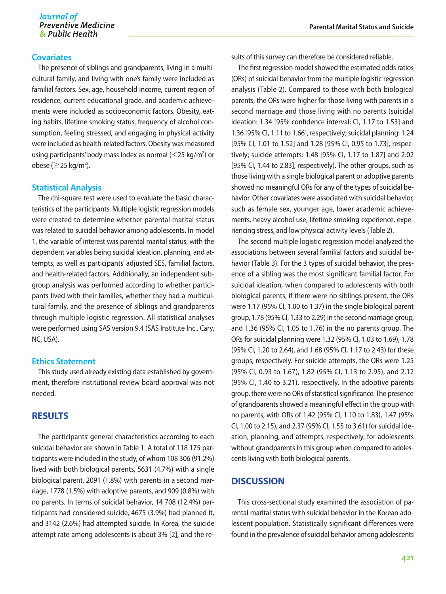#### **Covariates**

The presence of siblings and grandparents, living in a multicultural family, and living with one's family were included as familial factors. Sex, age, household income, current region of residence, current educational grade, and academic achievements were included as socioeconomic factors. Obesity, eating habits, lifetime smoking status, frequency of alcohol consumption, feeling stressed, and engaging in physical activity were included as health-related factors. Obesity was measured using participants' body mass index as normal  $(<$ 25 kg/m<sup>2</sup>) or obese ( $\geq$  25 kg/m<sup>2</sup>).

#### **Statistical Analysis**

The chi-square test were used to evaluate the basic characteristics of the participants. Multiple logistic regression models were created to determine whether parental marital status was related to suicidal behavior among adolescents. In model 1, the variable of interest was parental marital status, with the dependent variables being suicidal ideation, planning, and attempts, as well as participants' adjusted SES, familial factors, and health-related factors. Additionally, an independent subgroup analysis was performed according to whether participants lived with their families, whether they had a multicultural family, and the presence of siblings and grandparents through multiple logistic regression. All statistical analyses were performed using SAS version 9.4 (SAS Institute Inc., Cary, NC, USA).

#### **Ethics Statement**

This study used already existing data established by government, therefore institutional review board approval was not needed.

#### **RESULTS**

The participants' general characteristics according to each suicidal behavior are shown in Table 1. A total of 118 175 participants were included in the study, of whom 108 306 (91.2%) lived with both biological parents, 5631 (4.7%) with a single biological parent, 2091 (1.8%) with parents in a second marriage, 1778 (1.5%) with adoptive parents, and 909 (0.8%) with no parents. In terms of suicidal behavior, 14 708 (12.4%) participants had considered suicide, 4675 (3.9%) had planned it, and 3142 (2.6%) had attempted suicide. In Korea, the suicide attempt rate among adolescents is about 3% [2], and the results of this survey can therefore be considered reliable.

The first regression model showed the estimated odds ratios (ORs) of suicidal behavior from the multiple logistic regression analysis (Table 2). Compared to those with both biological parents, the ORs were higher for those living with parents in a second marriage and those living with no parents (suicidal ideation: 1.34 [95% confidence interval; CI, 1.17 to 1.53] and 1.36 [95% CI, 1.11 to 1.66], respectively; suicidal planning: 1.24 [95% CI, 1.01 to 1.52] and 1.28 [95% CI, 0.95 to 1.73], respectively; suicide attempts: 1.48 [95% CI, 1.17 to 1.87] and 2.02 [95% CI, 1.44 to 2.83], respectively). The other groups, such as those living with a single biological parent or adoptive parents showed no meaningful ORs for any of the types of suicidal behavior. Other covariates were associated with suicidal behavior, such as female sex, younger age, lower academic achievements, heavy alcohol use, lifetime smoking experience, experiencing stress, and low physical activity levels (Table 2).

The second multiple logistic regression model analyzed the associations between several familial factors and suicidal behavior (Table 3). For the 3 types of suicidal behavior, the presence of a sibling was the most significant familial factor. For suicidal ideation, when compared to adolescents with both biological parents, if there were no siblings present, the ORs were 1.17 (95% CI, 1.00 to 1.37) in the single biological parent group, 1.78 (95% CI, 1.33 to 2.29) in the second marriage group, and 1.36 (95% CI, 1.05 to 1.76) in the no parents group. The ORs for suicidal planning were 1.32 (95% CI, 1.03 to 1.69), 1.78 (95% CI, 1.20 to 2.64), and 1.68 (95% CI, 1.17 to 2.43) for these groups, respectively. For suicide attempts, the ORs were 1.25 (95% CI, 0.93 to 1.67), 1.82 (95% CI, 1.13 to 2.95), and 2.12 (95% CI, 1.40 to 3.21), respectively. In the adoptive parents group, there were no ORs of statistical significance. The presence of grandparents showed a meaningful effect in the group with no parents, with ORs of 1.42 (95% CI, 1.10 to 1.83), 1.47 (95% CI, 1.00 to 2.15), and 2.37 (95% CI, 1.55 to 3.61) for suicidal ideation, planning, and attempts, respectively, for adolescents without grandparents in this group when compared to adolescents living with both biological parents.

#### **DISCUSSION**

This cross-sectional study examined the association of parental marital status with suicidal behavior in the Korean adolescent population. Statistically significant differences were found in the prevalence of suicidal behavior among adolescents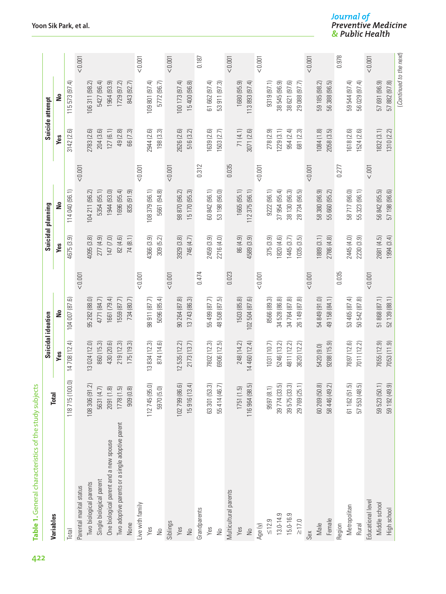|                                                  | <b>Total</b>                                        | <b>Suicidal ideation</b> |                                   |         |            | Suicidal planning |          |                | Suicide attempt  |         |
|--------------------------------------------------|-----------------------------------------------------|--------------------------|-----------------------------------|---------|------------|-------------------|----------|----------------|------------------|---------|
| Variables                                        |                                                     | Yes                      | ş                                 |         | Yes        | å                 |          | Yes            | å                |         |
| Total                                            | (0.0)<br>118715 (10                                 | 14708 (12.4)             | G.<br>104 007 (87                 |         | 4675 (3.9) | 114 040 (96.1)    |          | 3142(2.6)      | ₹<br>115573 (97) |         |
| Parental marital status                          |                                                     |                          |                                   | < 0.001 |            |                   | < 0.001  |                |                  | < 0.001 |
| Two biological parents                           | $\widetilde{c}$<br>108 306 (91                      | 13 024 (12.0)            | 95 282 (88.0)                     |         | 4095 (3.8) | 104 211 (96.2)    |          | 2783 (2.6)     | 106311 (98.2)    |         |
| Single biological parent                         |                                                     | 860 (15.3)               | 4771 (84.7)                       |         | 277 (4.9)  | 5354 (95.1)       |          | 204 (3.6)      | 5427 (96.4)      |         |
| One biological parent and a new spouse           |                                                     | 430 (20.6)               | 1661 (79.4)                       |         | 147 (7.0)  | 1944(93.0)        |          | 127(6.1)       | 1964 (93.9)      |         |
| Two adoptive parents or a single adoptive parent | 5631 (4.7)<br>2091 (1.8)<br>1778 (1.5)<br>909 (0.8) | 219 (12.3)               | 559 (87.7)                        |         | 82 (4.6)   | 1696 (95.4)       |          | 49 (2.8)       | 1729(97.2)       |         |
| None                                             |                                                     | 175(19.3)                | 734 (80.7)                        |         | 74 (8.1)   | 835 (91.9)        |          | 66 (7.3)       | 843 (92.7)       |         |
| Live with family                                 |                                                     |                          |                                   | < 0.001 |            |                   | 10000    |                |                  | < 0.001 |
| Yes                                              | 112745 (95.0)                                       | 13834 (12.3)             | 98 911 (87.7)                     |         | 4366 (3.9) | 108 379 (96.1)    |          | 2944 (2.6)     | 109 801 (97.4)   |         |
| $\frac{1}{2}$                                    | 5970 (5.0)                                          | 874 (14.6)               | 5096 (85.4)                       |         | 309 (5.2)  | 5661 (94.8)       |          | 198(3.3)       | 5772 (96.7)      |         |
| Siblings                                         |                                                     |                          |                                   | < 0.001 |            |                   | < 0.001  |                |                  | < 0.001 |
| Yes                                              | <u>ම</u><br>102799 (86                              | 12 535 (12.2)            | 90 264 (87.8)                     |         | 3929 (3.8) | 98 870 (96.2)     |          | 2626 (2.6)     | 100 173 (97.4)   |         |
| $\frac{1}{2}$                                    | $\overline{4}$<br>15916 (13                         | 2173 (13.7)              | 13743 (86.3)                      |         | 746 (4.7)  | 15 170 (95.3)     |          | 516 (3.2)      | 15400 (96.8)     |         |
| Grandparents                                     |                                                     |                          |                                   | 0.474   |            |                   | 0.312    |                |                  | 0.187   |
| Yes                                              | 3<br>63 301 (53                                     | 7802 (12.3)              | 55 499 (87.7)                     |         | 2459 (3.9) | 60 842 (96.1)     |          | 639 (2.6)      | 61 662 (97.4)    |         |
| $\frac{1}{2}$                                    | 55414 (46.7)                                        | 6906 (12.5)              | 48 508 (87.5)                     |         | 2216 (4.0) | 53 198 (96.0)     |          | 1503 (2.7)     | 53 911 (97.3)    |         |
| Multicultural parents                            |                                                     |                          |                                   | 0.023   |            |                   | 0.035    |                |                  | < 0.001 |
| Yes                                              | 1751(1.5)                                           | 248 (14.2)               | 1503 (85.8)                       |         | 86 (4.9)   | 1665(95.1)        |          | 71 (4.1)       | 1680 (95.9)      |         |
| $\frac{1}{2}$                                    | <u>ig</u><br>116 964 (98                            | 14 460 (12.4)            | 102 504 (87.6)                    |         | 4589 (3.9) | 112375(96.1)      |          | 3071 (2.6)     | 113893 (97.4)    |         |
| Age (y)                                          |                                                     |                          |                                   | 10000   |            |                   | 10000    |                |                  | 10000   |
| $\leq 12.9$                                      | $\equiv$<br>9597 (8.1                               | 1031 (10.7)              | 8566 (89.3)                       |         | 375 (3.9)  | 9222(96.1)        |          | 278 (2.9)      | 9319 (97.1)      |         |
| 13.0-14.9                                        | 5<br>39774 (33                                      | 5246 (13.2)              | 34 528 (86.8)                     |         | 820 (4.6)  | 37 954 (95.4)     |          | 229(3.1)       | 38 545 (96.9)    |         |
| 15.0-16.9                                        | 39575 (33.3)                                        | 4811 (12.2)              | 34 764 (87.8)                     |         | 1445(3.7)  | 38 130 (96.3)     |          | 954 (2.4)      | 38 621 (97.6)    |         |
| $\geq 17.0$                                      | 29 769 (25.1)                                       | 3620 (12.2)              | 26 149 (87.8)                     |         | 1035(3.5)  | 28 734 (96.5)     |          | 681 (2.3)      | 29 088 (97.7)    |         |
| Sex                                              |                                                     |                          |                                   | < 0.001 |            |                   | < 0.001  |                |                  | < 0.001 |
| Male                                             | 6<br>60 269 (50                                     | 5420 (9.0)               | 54 849 (91.0)                     |         | 1889 (3.1) | 58 380 (96.9)     |          | 1084(1.8)      | 59 185 (98.2)    |         |
| Female                                           | $\overline{2}$<br>58 446 (49                        | 9288 (15.9)              | 49 158 (84.1)                     |         | 2786 (4.8) | 660 (95.2)<br>55  |          | に<br>2058 (3.5 | 56 388 (96.5)    |         |
| Region                                           |                                                     |                          |                                   | 0.035   |            |                   | 0.277    |                |                  | 0.978   |
| Metropolitan                                     | っ<br>61162 (51                                      | 7697 (12.6)              | 53 465 (87.4)                     |         | 2445 (4.0) | 58 717 (96.0)     |          | 618 (2.6)      | 59 544 (97.4)    |         |
| <b>Rural</b>                                     | ig<br>57 553 (48                                    | 7011 (12.2)              | $\overline{\omega}$<br>50 542 (87 |         | 2230 (3.9) | 323(96.1)<br>55   |          | 1524 (2.6)     | च<br>56029 (97   |         |
| Educational level                                |                                                     |                          |                                   | < 0.001 |            |                   | $< .001$ |                |                  | < 0.001 |
| Middle school                                    | 59523 (50                                           | 7655 (12.9)              | 51 868 (87.1)                     |         | 2681 (4.5) | 56 842 (95.5)     |          | 1832(3.1)      | 57 691 (96.9)    |         |
| High school                                      | <u>ම</u><br>59 192 (49                              | 7053 (11.9)              | 52 139 (88.1)                     |         | 1994(3.4)  | 57 198 (96.6)     |          | 1310(2.2)      | 57 882 (97.8)    |         |

Journal of<br>Preventive Medicine<br>& Public Health

Table 1. General characteristics of the study subjects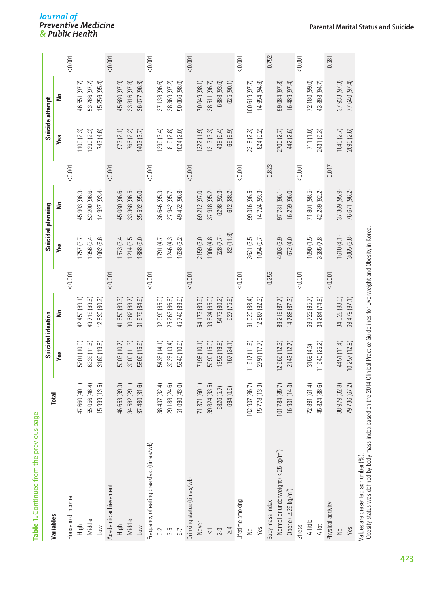|                                                |                                        | Suicidal ideation |                              |         | Suicidal planning |                                      |         | Suicide attempt |                                      |         |
|------------------------------------------------|----------------------------------------|-------------------|------------------------------|---------|-------------------|--------------------------------------|---------|-----------------|--------------------------------------|---------|
| Variables                                      | <b>Total</b>                           | Yes               | å                            |         | Yes               | å                                    |         | Yes             | å                                    |         |
| Household income                               |                                        |                   |                              | < 0.001 |                   |                                      | < 0.001 |                 |                                      | < 0.001 |
| High                                           | $\rightleftharpoons$<br>47 660 (40     | 5201 (10.9)       | 42 459 (89.1)                |         | 757 (3.7)         | نی<br>903 (96.<br>$\overline{45}$    |         | 109(2.3)        | 46 551 (97.7)                        |         |
| Middle                                         | $\overline{4}$<br>55056 (46            | 6338 (11.5)       | 48718 (88.5)                 |         | 856 (3.4)         | 53 200 (96.6)                        |         | 290 (2.3)       | 53766 (97.7)                         |         |
| Low                                            | 10<br>15 999 (13                       | 3169 (19.8)       | 830 (80.2)<br>$\overline{2}$ |         | 062 (6.6)         | ₹<br>937 (93.<br>$\overline{4}$      |         | 743 (4.6)       | ₹<br>15256 (95.                      |         |
| Academic achievement                           |                                        |                   |                              | < 0.001 |                   |                                      | < 0.001 |                 |                                      | < 0.001 |
| High                                           | <u>ය</u><br>46653 (39                  | 5003 (10.7)       | 650 (89.3)<br>$\frac{4}{3}$  |         | 573 (3.4)         | 45 080 (96.6)                        |         | 973(2.1)        | த<br>45 680 (97                      |         |
| Middle                                         | 34 582 (29.1)                          | 3900 (11.3)       | 30 682 (88.7)                |         | (214(3.5))        | に<br>33 368 (96.                     |         | 766 (2.2)       | 33816 (97.8)                         |         |
| Low                                            | $\widehat{\omega}$<br>37 480 (31       | 5805 (15.5)       | 675 (84.5)<br>$\overline{3}$ |         | 888 (5.0)         | 592 (95.0)<br>55                     |         | 403 (3.7)       | 36 077 (96.3)                        |         |
| Frequency of eating breakfast (times/wk)       |                                        |                   |                              | < 0.001 |                   |                                      | < 0.001 |                 |                                      | < 0.001 |
| $0-2$                                          | ₹<br>38437 (32                         | 5438 (14.1)       | த<br>999 (85.<br>32          |         | (791 (4.7))       | $\tilde{\mathcal{E}}$<br>36 646 (95. |         | 299(3.4)        | G<br>37 138 (96.                     |         |
| $3-5$                                          | <u>ම</u><br>29 188 (24                 | 3925 (13.4)       | 25 263 (86.6)                |         | (246(4.3))        | 27 942 (95.7)                        |         | 819 (2.8)       | 28369 (97.2)                         |         |
| $6-7$                                          | a<br>51 090 (43                        | 5345 (10.5)       | io.<br>45 745 (89.           |         | 638 (3.2)         | 452 (96.8)<br>g<br>4                 |         | 024(2.0)        | Ξ<br>50 066 (98.                     |         |
| Drinking status (times/wk)                     |                                        |                   |                              | < 0.001 |                   |                                      | < 0.001 |                 |                                      | < 0.001 |
| Never                                          | 71371 (60.1)                           | 7198 (10.1)       | 64 173 (89.9)                |         | 2159(3.0)         | 69 212 (97.0)                        |         | 322(1.9)        | 70049 (98.1)                         |         |
| $\overline{\vee}$                              | $\overline{5}$<br>39824 (33            | 5990 (15.0)       | 33 834 (85.0)                |         | (4.8) 906         | 37918(95.2)                          |         | 313(3.3)        | 38511 (96.7)                         |         |
| $2 - 3$                                        | 6826 (5.7)                             | 353 (19.8)        | 5473 (80.2)                  |         | 528 (7.7)         | 6298 (92.3)                          |         | 438 (6.4)       | 6388 (93.6)                          |         |
| $\geq 4$                                       | 694 (0.6)                              | 167 (24.1)        | 527 (75.9)                   |         | 82 (11.8)         | 612 (88.2)                           |         | ெ<br>69 (9.     | 625 (90.1)                           |         |
| .ifetime smoking                               |                                        |                   |                              | < 0.001 |                   |                                      | < 0.001 |                 |                                      | < 0.001 |
| $\frac{1}{2}$                                  | $\sum_{i=1}^{n}$<br>102 937 (86        | 11 917 (11.6)     | 91 020 (88.4)                |         | 3621 (3.5)        | τó<br>99 316 (96.                    |         | 2318 (2.3)      | 100619(97.7)                         |         |
| Yes                                            | <u>છે</u><br>15778 (13                 | 2791 (17.7)       | 987 (82.3)<br>$\overline{2}$ |         | 1054(6.7)         | $\tilde{\mathcal{E}}$<br>14 724 (93. |         | 824 (5.2)       | $\overline{\infty}$<br>14954 (94     |         |
| Body mass index <sup>1</sup>                   |                                        |                   |                              | 0.253   |                   |                                      | 0.823   |                 |                                      | 0.752   |
| Normal or underweight (<25 kg/m <sup>2</sup> ) | 101784 (85.7)                          | (2565(12.3))      | 89 219 (87.7)                |         | 4003(3.9)         | 97 781 (96.1)                        |         | 2700 (2.7)      | 99 084 (97.3)                        |         |
| Obese ( $\geq$ 25 kg/m <sup>2</sup> )          | $\widetilde{\mathcal{E}}$<br>16931 (14 | 2143 (12.7)       | 14788 (87.3)                 |         | 672 (4.0)         | 16 259 (96.0)                        |         | 442 (2.6)       | 16489 (97.4)                         |         |
| Stress                                         |                                        |                   |                              | < 0.001 |                   |                                      | < 0.001 |                 |                                      | < 0.001 |
| A little                                       | ₹<br>72891 (61                         | 3168 (4.3)        | 69 723 (95.7)                |         | 1090(1.5)         | 71 801 (98.5)                        |         | 711 (1.0)       | 72180 (99.0)                         |         |
| $\wedge$ lot                                   | බ<br>45824 (38                         | 11 540 (25.2)     | 34 284 (74.8)                |         | 3585 (7.8)        | $\widehat{\sim}$<br>42 239 (92.      |         | 2431 (5.3)      | 43 393 (94.7)                        |         |
| Physical activity                              |                                        |                   |                              | < 0.001 |                   |                                      | 0.017   |                 |                                      | 0.581   |
| $\frac{1}{2}$                                  | $\widehat{\infty}$<br>38979 (32        | 4451 (11.4)       | 34 528 (88.6)                |         | (610(4.1))        | $\overline{5}$<br>37 369 (95.        |         | 1046(2.7)       | $\tilde{\mathcal{E}}$<br>37 933 (97. |         |
| Yes                                            | $\overline{2}$<br>79736 (67            | 10 257 (12.9)     | 69 479 (87.1)                |         | 3065(3.8)         | 76 671 (96.2)                        |         | 2096 (2.6)      | 77 640 (97.4)                        |         |

# Journal of<br>Preventive Medicine<br>& Public Health

**Table 1.** Continued from the previous page

Table 1. Continued from the previous page

Values are presented as number (%).

1Obesity status was defined by body mass index based on the 2014 Clinical Practice Guidelines for Overweight and Obesity in Korea.

Values are presented as number (%).<br>'Obesity status was defined by body mass index based on the 2014 Clinical Practice Guidelines for Overweight and Obesity in Korea.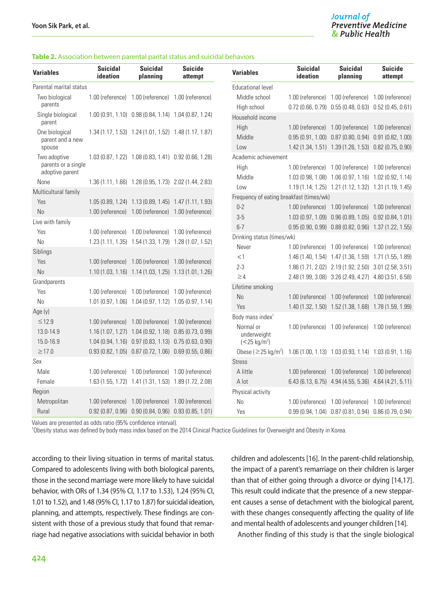#### **Table 2.** Association between parental parital status and suicidal behaviors

| <b>Variables</b>                       | <b>Suicidal</b><br>ideation | <b>Suicidal</b><br>planning                           | <b>Suicide</b><br>attempt | <b>Variables</b>                                                                            | <b>Suicidal</b><br>ideation | <b>Suicidal</b><br>planning                                                                                       | <b>Suicide</b><br>attempt |
|----------------------------------------|-----------------------------|-------------------------------------------------------|---------------------------|---------------------------------------------------------------------------------------------|-----------------------------|-------------------------------------------------------------------------------------------------------------------|---------------------------|
| Parental marital status                |                             |                                                       |                           | <b>Educational level</b>                                                                    |                             |                                                                                                                   |                           |
| Two biological                         |                             | 1.00 (reference) 1.00 (reference) 1.00 (reference)    |                           | Middle school                                                                               |                             | 1.00 (reference) 1.00 (reference) 1.00 (reference)                                                                |                           |
| parents                                |                             |                                                       |                           | High school                                                                                 |                             | $0.72$ (0.66, 0.79) $0.55$ (0.48, 0.63) $0.52$ (0.45, 0.61)                                                       |                           |
| Single biological<br>parent            |                             | 1.00 (0.91, 1.10) 0.98 (0.84, 1.14) 1.04 (0.87, 1.24) |                           | Household income                                                                            |                             |                                                                                                                   |                           |
| One biological                         |                             | 1.34 (1.17, 1.53) 1.24 (1.01, 1.52) 1.48 (1.17, 1.87) |                           | High                                                                                        |                             | 1.00 (reference) 1.00 (reference) 1.00 (reference)                                                                |                           |
| parent and a new<br>spouse             |                             |                                                       |                           | Middle<br>Low                                                                               |                             | $0.95(0.91, 1.00)$ $0.87(0.80, 0.94)$ $0.91(0.82, 1.00)$<br>1.42 (1.34, 1.51) 1.39 (1.26, 1.53) 0.82 (0.75, 0.90) |                           |
| Two adoptive                           |                             | 1.03 (0.87, 1.22) 1.08 (0.83, 1.41) 0.92 (0.66, 1.28) |                           | Academic achievement                                                                        |                             |                                                                                                                   |                           |
| parents or a single<br>adoptive parent |                             |                                                       |                           | High                                                                                        |                             | 1.00 (reference) 1.00 (reference) 1.00 (reference)                                                                |                           |
| None                                   |                             | 1.36 (1.11, 1.66) 1.28 (0.95, 1.73) 2.02 (1.44, 2.83) |                           | Middle                                                                                      |                             | 1.03 (0.98, 1.08) 1.06 (0.97, 1.16) 1.02 (0.92, 1.14)                                                             |                           |
| Multicultural family                   |                             |                                                       |                           | Low                                                                                         |                             | 1.19 (1.14, 1.25) 1.21 (1.12, 1.32) 1.31 (1.19, 1.45)                                                             |                           |
| Yes                                    |                             | 1.05 (0.89, 1.24) 1.13 (0.89, 1.45) 1.47 (1.11, 1.93) |                           | Frequency of eating breakfast (times/wk)                                                    |                             |                                                                                                                   |                           |
| N <sub>o</sub>                         |                             | 1.00 (reference) 1.00 (reference) 1.00 (reference)    |                           | $0-2$                                                                                       |                             | 1.00 (reference) 1.00 (reference) 1.00 (reference)                                                                |                           |
| Live with family                       |                             |                                                       |                           | $3-5$                                                                                       |                             | 1.03 (0.97, 1.09) 0.96 (0.89, 1.05) 0.92 (0.84, 1.01)                                                             |                           |
| Yes                                    |                             | 1.00 (reference) 1.00 (reference) 1.00 (reference)    |                           | $6 - 7$                                                                                     |                             | 0.95 (0.90, 0.99) 0.88 (0.82, 0.96) 1.37 (1.22, 1.55)                                                             |                           |
| N <sub>0</sub>                         |                             | 1.23 (1.11, 1.35) 1.54 (1.33, 1.79) 1.28 (1.07, 1.52) |                           | Drinking status (times/wk)                                                                  |                             |                                                                                                                   |                           |
| Siblings                               |                             |                                                       |                           | Never                                                                                       |                             | 1.00 (reference) 1.00 (reference) 1.00 (reference)                                                                |                           |
| Yes                                    |                             | 1.00 (reference) 1.00 (reference) 1.00 (reference)    |                           | <1                                                                                          |                             | 1.46 (1.40, 1.54) 1.47 (1.36, 1.59) 1.71 (1.55, 1.89)                                                             |                           |
| No                                     |                             |                                                       |                           | $2 - 3$                                                                                     |                             | 1.86 (1.71, 2.02) 2.19 (1.92, 2.50) 3.01 (2.58, 3.51)                                                             |                           |
|                                        |                             | 1.10 (1.03, 1.16) 1.14 (1.03, 1.25) 1.13 (1.01, 1.26) |                           | $\geq 4$                                                                                    |                             | 2.48 (1.99, 3.08) 3.26 (2.49, 4.27) 4.80 (3.51, 6.58)                                                             |                           |
| Grandparents                           |                             |                                                       |                           | Lifetime smoking                                                                            |                             |                                                                                                                   |                           |
| Yes                                    |                             | 1.00 (reference) 1.00 (reference) 1.00 (reference)    |                           | N <sub>o</sub>                                                                              |                             | 1.00 (reference) 1.00 (reference) 1.00 (reference)                                                                |                           |
| N <sub>0</sub>                         |                             | 1.01 (0.97, 1.06) 1.04 (0.97, 1.12) 1.05 (0.97, 1.14) |                           | Yes                                                                                         |                             | 1.40 (1.32, 1.50) 1.52 (1.38, 1.68) 1.78 (1.59, 1.99)                                                             |                           |
| Age (y)                                |                             |                                                       |                           | Body mass index <sup>1</sup>                                                                |                             |                                                                                                                   |                           |
| $\leq$ 12.9                            |                             | 1.00 (reference) 1.00 (reference) 1.00 (reference)    |                           | Normal or                                                                                   |                             | 1.00 (reference) 1.00 (reference) 1.00 (reference)                                                                |                           |
| 13.0-14.9                              |                             | 1.16 (1.07, 1.27) 1.04 (0.92, 1.18) 0.85 (0.73, 0.99) |                           | underweight                                                                                 |                             |                                                                                                                   |                           |
| 15.0-16.9                              |                             | 1.04 (0.94, 1.16) 0.97 (0.83, 1.13) 0.75 (0.63, 0.90) |                           | $(< 25 \text{ kg/m}^2)$                                                                     |                             |                                                                                                                   |                           |
| $\geq$ 17.0                            |                             | 0.93 (0.82, 1.05) 0.87 (0.72, 1.06) 0.69 (0.55, 0.86) |                           | Obese ( $\geq$ 25 kg/m <sup>2</sup> ) 1.06 (1.00, 1.13) 1.03 (0.93, 1.14) 1.03 (0.91, 1.16) |                             |                                                                                                                   |                           |
| Sex                                    |                             |                                                       |                           | <b>Stress</b>                                                                               |                             |                                                                                                                   |                           |
| Male                                   |                             | 1.00 (reference) 1.00 (reference) 1.00 (reference)    |                           | A little                                                                                    |                             | 1.00 (reference) 1.00 (reference) 1.00 (reference)                                                                |                           |
| Female                                 |                             | 1.63 (1.55, 1.72) 1.41 (1.31, 1.53) 1.89 (1.72, 2.08) |                           | A lot                                                                                       |                             | 6.43 (6.13, 6.75) 4.94 (4.55, 5.36) 4.64 (4.21, 5.11)                                                             |                           |
| Region                                 |                             |                                                       |                           | Physical activity                                                                           |                             |                                                                                                                   |                           |
| Metropolitan                           |                             | 1.00 (reference) 1.00 (reference) 1.00 (reference)    |                           | N <sub>0</sub>                                                                              |                             | 1.00 (reference) 1.00 (reference) 1.00 (reference)                                                                |                           |
| Rural                                  |                             | 0.92 (0.87, 0.96) 0.90 (0.84, 0.96) 0.93 (0.85, 1.01) |                           | Yes                                                                                         |                             | 0.99 (0.94, 1.04) 0.87 (0.81, 0.94) 0.86 (0.79, 0.94)                                                             |                           |

Values are presented as odds ratio (95% confidence interval).

1 Obesity status was defined by body mass index based on the 2014 Clinical Practice Guidelines for Overweight and Obesity in Korea.

according to their living situation in terms of marital status. Compared to adolescents living with both biological parents, those in the second marriage were more likely to have suicidal behavior, with ORs of 1.34 (95% CI, 1.17 to 1.53), 1.24 (95% CI, 1.01 to 1.52), and 1.48 (95% CI, 1.17 to 1.87) for suicidal ideation, planning, and attempts, respectively. These findings are consistent with those of a previous study that found that remarriage had negative associations with suicidal behavior in both children and adolescents [16]. In the parent-child relationship, the impact of a parent's remarriage on their children is larger than that of either going through a divorce or dying [14,17]. This result could indicate that the presence of a new stepparent causes a sense of detachment with the biological parent, with these changes consequently affecting the quality of life and mental health of adolescents and younger children [14].

Another finding of this study is that the single biological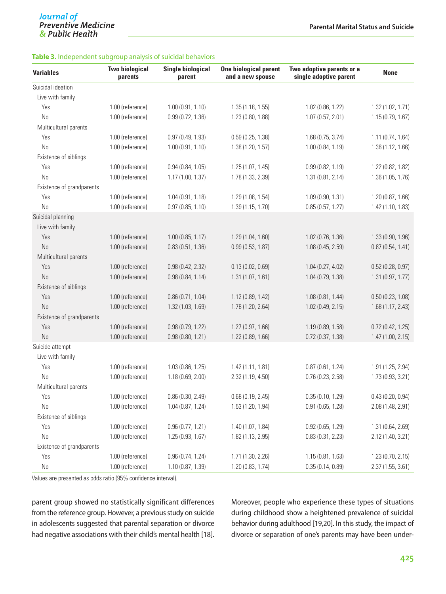#### **Table 3.** Independent subgroup analysis of suicidal behaviors

| <b>Variables</b>                      | <b>Two biological</b><br>parents | <b>Single biological</b><br>parent | <b>One biological parent</b><br>and a new spouse | Two adoptive parents or a<br>single adoptive parent | <b>None</b>         |
|---------------------------------------|----------------------------------|------------------------------------|--------------------------------------------------|-----------------------------------------------------|---------------------|
| Suicidal ideation                     |                                  |                                    |                                                  |                                                     |                     |
| Live with family                      |                                  |                                    |                                                  |                                                     |                     |
| Yes                                   | 1.00 (reference)                 | 1.00(0.91, 1.10)                   | 1.35 (1.18, 1.55)                                | 1.02 (0.86, 1.22)                                   | 1.32 (1.02, 1.71)   |
| N <sub>0</sub>                        | 1.00 (reference)                 | 0.99(0.72, 1.36)                   | 1.23 (0.80, 1.88)                                | 1.07(0.57, 2.01)                                    | 1.15(0.79, 1.67)    |
| Multicultural parents                 |                                  |                                    |                                                  |                                                     |                     |
| Yes                                   | 1.00 (reference)                 | 0.97(0.49, 1.93)                   | 0.59(0.25, 1.38)                                 | 1.68(0.75, 3.74)                                    | 1.11 (0.74, 1.64)   |
| <b>No</b>                             | 1.00 (reference)                 | 1.00(0.91, 1.10)                   | 1.38 (1.20, 1.57)                                | 1.00 (0.84, 1.19)                                   | 1.36 (1.12, 1.66)   |
| Existence of siblings                 |                                  |                                    |                                                  |                                                     |                     |
| Yes                                   | 1.00 (reference)                 | 0.94(0.84, 1.05)                   | 1.25(1.07, 1.45)                                 | 0.99(0.82, 1.19)                                    | 1.22 (0.82, 1.82)   |
| <b>No</b>                             | 1.00 (reference)                 | 1.17(1.00, 1.37)                   | 1.78 (1.33, 2.39)                                | 1.31 (0.81, 2.14)                                   | 1.36 (1.05, 1.76)   |
| Existence of grandparents             |                                  |                                    |                                                  |                                                     |                     |
| Yes                                   | 1.00 (reference)                 | 1.04(0.91, 1.18)                   | 1.29 (1.08, 1.54)                                | 1.09 (0.90, 1.31)                                   | 1.20 (0.87, 1.66)   |
| N <sub>0</sub>                        | 1.00 (reference)                 | 0.97(0.85, 1.10)                   | 1.39 (1.15, 1.70)                                | 0.85(0.57, 1.27)                                    | 1.42 (1.10, 1.83)   |
| Suicidal planning<br>Live with family |                                  |                                    |                                                  |                                                     |                     |
| Yes                                   | 1.00 (reference)                 | 1.00(0.85, 1.17)                   | 1.29 (1.04, 1.60)                                | 1.02 (0.76, 1.36)                                   | 1.33 (0.90, 1.96)   |
| N <sub>0</sub>                        | 1.00 (reference)                 | 0.83(0.51, 1.36)                   | 0.99(0.53, 1.87)                                 | 1.08 (0.45, 2.59)                                   | 0.87(0.54, 1.41)    |
| Multicultural parents                 |                                  |                                    |                                                  |                                                     |                     |
| Yes                                   | 1.00 (reference)                 | 0.98(0.42, 2.32)                   | 0.13(0.02, 0.69)                                 | 1.04 (0.27, 4.02)                                   | 0.52(0.28, 0.97)    |
| <b>No</b>                             | 1.00 (reference)                 | 0.98(0.84, 1.14)                   | 1.31(1.07, 1.61)                                 | 1.04 (0.79, 1.38)                                   | 1.31 (0.97, 1.77)   |
| Existence of siblings                 |                                  |                                    |                                                  |                                                     |                     |
| Yes                                   | 1.00 (reference)                 | 0.86(0.71, 1.04)                   | 1.12 (0.89, 1.42)                                | 1.08(0.81, 1.44)                                    | 0.50(0.23, 1.08)    |
| <b>No</b>                             | 1.00 (reference)                 | 1.32 (1.03, 1.69)                  | 1.78 (1.20, 2.64)                                | 1.02 (0.49, 2.15)                                   | 1.68 (1.17, 2.43)   |
| Existence of grandparents             |                                  |                                    |                                                  |                                                     |                     |
| Yes                                   | 1.00 (reference)                 | 0.98(0.79, 1.22)                   | 1.27 (0.97, 1.66)                                | 1.19 (0.89, 1.58)                                   | $0.72$ (0.42, 1.25) |
| N <sub>0</sub>                        | 1.00 (reference)                 | 0.98(0.80, 1.21)                   | 1.22 (0.89, 1.66)                                | $0.72$ (0.37, 1.38)                                 | 1.47 (1.00, 2.15)   |
| Suicide attempt                       |                                  |                                    |                                                  |                                                     |                     |
| Live with family                      |                                  |                                    |                                                  |                                                     |                     |
| Yes                                   | 1.00 (reference)                 | 1.03 (0.86, 1.25)                  | 1.42 (1.11, 1.81)                                | 0.87(0.61, 1.24)                                    | 1.91 (1.25, 2.94)   |
| No                                    | 1.00 (reference)                 | 1.18(0.69, 2.00)                   | 2.32(1.19, 4.50)                                 | 0.76(0.23, 2.58)                                    | 1.73 (0.93, 3.21)   |
| Multicultural parents                 |                                  |                                    |                                                  |                                                     |                     |
| Yes                                   | 1.00 (reference)                 | 0.86(0.30, 2.49)                   | 0.68(0.19, 2.45)                                 | 0.35(0.10, 1.29)                                    | 0.43(0.20, 0.94)    |
| No                                    | 1.00 (reference)                 | 1.04(0.87, 1.24)                   | 1.53 (1.20, 1.94)                                | $0.91$ (0.65, 1.28)                                 | 2.08 (1.48, 2.91)   |
| Existence of siblings                 |                                  |                                    |                                                  |                                                     |                     |
| Yes                                   | 1.00 (reference)                 | 0.96(0.77, 1.21)                   | 1.40 (1.07, 1.84)                                | 0.92(0.65, 1.29)                                    | 1.31 (0.64, 2.69)   |
| $\rm No$                              | 1.00 (reference)                 | 1.25(0.93, 1.67)                   | 1.82 (1.13, 2.95)                                | 0.83(0.31, 2.23)                                    | 2.12 (1.40, 3.21)   |
| Existence of grandparents             |                                  |                                    |                                                  |                                                     |                     |
| Yes                                   | 1.00 (reference)                 | 0.96(0.74, 1.24)                   | 1.71 (1.30, 2.26)                                | 1.15(0.81, 1.63)                                    | 1.23 (0.70, 2.15)   |
| $\rm No$                              | 1.00 (reference)                 | 1.10 (0.87, 1.39)                  | 1.20 (0.83, 1.74)                                | 0.35(0.14, 0.89)                                    | 2.37(1.55, 3.61)    |

Values are presented as odds ratio (95% confidence interval).

parent group showed no statistically significant differences from the reference group. However, a previous study on suicide in adolescents suggested that parental separation or divorce had negative associations with their child's mental health [18]. Moreover, people who experience these types of situations during childhood show a heightened prevalence of suicidal behavior during adulthood [19,20]. In this study, the impact of divorce or separation of one's parents may have been under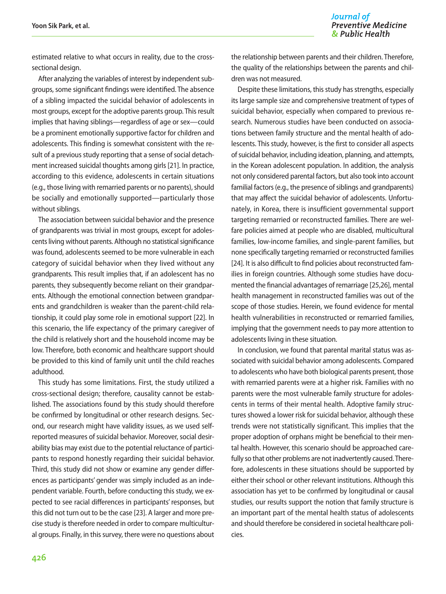estimated relative to what occurs in reality, due to the crosssectional design.

After analyzing the variables of interest by independent subgroups, some significant findings were identified. The absence of a sibling impacted the suicidal behavior of adolescents in most groups, except for the adoptive parents group. This result implies that having siblings—regardless of age or sex—could be a prominent emotionally supportive factor for children and adolescents. This finding is somewhat consistent with the result of a previous study reporting that a sense of social detachment increased suicidal thoughts among girls [21]. In practice, according to this evidence, adolescents in certain situations (e.g., those living with remarried parents or no parents), should be socially and emotionally supported—particularly those without siblings.

The association between suicidal behavior and the presence of grandparents was trivial in most groups, except for adolescents living without parents. Although no statistical significance was found, adolescents seemed to be more vulnerable in each category of suicidal behavior when they lived without any grandparents. This result implies that, if an adolescent has no parents, they subsequently become reliant on their grandparents. Although the emotional connection between grandparents and grandchildren is weaker than the parent-child relationship, it could play some role in emotional support [22]. In this scenario, the life expectancy of the primary caregiver of the child is relatively short and the household income may be low. Therefore, both economic and healthcare support should be provided to this kind of family unit until the child reaches adulthood.

This study has some limitations. First, the study utilized a cross-sectional design; therefore, causality cannot be established. The associations found by this study should therefore be confirmed by longitudinal or other research designs. Second, our research might have validity issues, as we used selfreported measures of suicidal behavior. Moreover, social desirability bias may exist due to the potential reluctance of participants to respond honestly regarding their suicidal behavior. Third, this study did not show or examine any gender differences as participants' gender was simply included as an independent variable. Fourth, before conducting this study, we expected to see racial differences in participants' responses, but this did not turn out to be the case [23]. A larger and more precise study is therefore needed in order to compare multicultural groups. Finally, in this survey, there were no questions about the relationship between parents and their children. Therefore, the quality of the relationships between the parents and children was not measured.

Despite these limitations, this study has strengths, especially its large sample size and comprehensive treatment of types of suicidal behavior, especially when compared to previous research. Numerous studies have been conducted on associations between family structure and the mental health of adolescents. This study, however, is the first to consider all aspects of suicidal behavior, including ideation, planning, and attempts, in the Korean adolescent population. In addition, the analysis not only considered parental factors, but also took into account familial factors (e.g., the presence of siblings and grandparents) that may affect the suicidal behavior of adolescents. Unfortunately, in Korea, there is insufficient governmental support targeting remarried or reconstructed families. There are welfare policies aimed at people who are disabled, multicultural families, low-income families, and single-parent families, but none specifically targeting remarried or reconstructed families [24]. It is also difficult to find policies about reconstructed families in foreign countries. Although some studies have documented the financial advantages of remarriage [25,26], mental health management in reconstructed families was out of the scope of those studies. Herein, we found evidence for mental health vulnerabilities in reconstructed or remarried families, implying that the government needs to pay more attention to adolescents living in these situation.

In conclusion, we found that parental marital status was associated with suicidal behavior among adolescents. Compared to adolescents who have both biological parents present, those with remarried parents were at a higher risk. Families with no parents were the most vulnerable family structure for adolescents in terms of their mental health. Adoptive family structures showed a lower risk for suicidal behavior, although these trends were not statistically significant. This implies that the proper adoption of orphans might be beneficial to their mental health. However, this scenario should be approached carefully so that other problems are not inadvertently caused. Therefore, adolescents in these situations should be supported by either their school or other relevant institutions. Although this association has yet to be confirmed by longitudinal or causal studies, our results support the notion that family structure is an important part of the mental health status of adolescents and should therefore be considered in societal healthcare policies.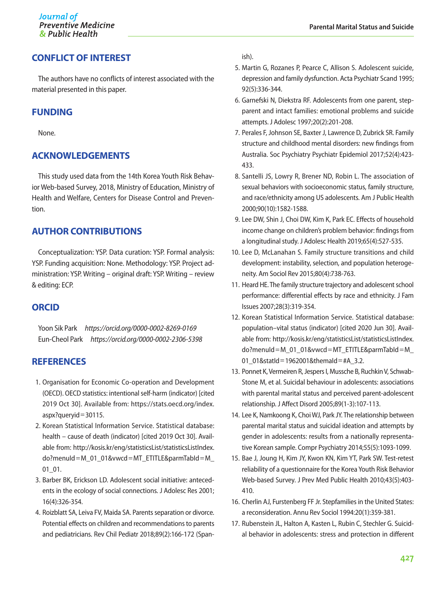#### **CONFLICT OF INTEREST**

The authors have no conflicts of interest associated with the material presented in this paper.

#### **FUNDING**

None.

#### **ACKNOWLEDGEMENTS**

This study used data from the 14th Korea Youth Risk Behavior Web-based Survey, 2018, Ministry of Education, Ministry of Health and Welfare, Centers for Disease Control and Prevention.

#### **AUTHOR CONTRIBUTIONS**

Conceptualization: YSP. Data curation: YSP. Formal analysis: YSP. Funding acquisition: None. Methodology: YSP. Project administration: YSP. Writing – original draft: YSP. Writing – review & editing: ECP.

#### **ORCID**

Yoon Sik Park *<https://orcid.org/0000-0002-8269-0169>* Eun-Cheol Park *<https://orcid.org/0000-0002-2306-5398>*

#### **REFERENCES**

- 1. Organisation for Economic Co-operation and Development (OECD). OECD statistics: intentional self-harm (indicator) [cited 2019 Oct 30]. Available from: [https://stats.oecd.org/index.](https://stats.oecd.org/index.aspx?queryid=30115) [aspx?queryid](https://stats.oecd.org/index.aspx?queryid=30115)=30115.
- 2. Korean Statistical Information Service. Statistical database: health – cause of death (indicator) [cited 2019 Oct 30]. Available from: [http://kosis.kr/eng/statisticsList/statisticsListIndex.](http://kosis.kr/eng/statisticsList/statisticsListIndex.do?menuId=M_01_01&vwcd=MT_ETITLE&parmTabId=M_01_01) do?menuId=M\_01\_01&vwcd=[MT\\_ETITLE&parmTabId](http://kosis.kr/eng/statisticsList/statisticsListIndex.do?menuId=M_01_01&vwcd=MT_ETITLE&parmTabId=M_01_01)=M\_ 01 01.
- 3. Barber BK, Erickson LD. Adolescent social initiative: antecedents in the ecology of social connections. J Adolesc Res 2001; 16(4):326-354.
- 4. Roizblatt SA, Leiva FV, Maida SA. Parents separation or divorce. Potential effects on children and recommendations to parents and pediatricians. Rev Chil Pediatr 2018;89(2):166-172 (Span-

ish).

- 5. Martin G, Rozanes P, Pearce C, Allison S. Adolescent suicide, depression and family dysfunction. Acta Psychiatr Scand 1995; 92(5):336-344.
- 6. Garnefski N, Diekstra RF. Adolescents from one parent, stepparent and intact families: emotional problems and suicide attempts. J Adolesc 1997;20(2):201-208.
- 7. Perales F, Johnson SE, Baxter J, Lawrence D, Zubrick SR. Family structure and childhood mental disorders: new findings from Australia. Soc Psychiatry Psychiatr Epidemiol 2017;52(4):423- 433.
- 8. Santelli JS, Lowry R, Brener ND, Robin L. The association of sexual behaviors with socioeconomic status, family structure, and race/ethnicity among US adolescents. Am J Public Health 2000;90(10):1582-1588.
- 9. Lee DW, Shin J, Choi DW, Kim K, Park EC. Effects of household income change on children's problem behavior: findings from a longitudinal study. J Adolesc Health 2019;65(4):527-535.
- 10. Lee D, McLanahan S. Family structure transitions and child development: instability, selection, and population heterogeneity. Am Sociol Rev 2015;80(4):738-763.
- 11. Heard HE. The family structure trajectory and adolescent school performance: differential effects by race and ethnicity. J Fam Issues 2007;28(3):319-354.
- 12. Korean Statistical Information Service. Statistical database: population–vital status (indicator) [cited 2020 Jun 30]. Available from: [http://kosis.kr/eng/statisticsList/statisticsListIndex.](http://kosis.kr/eng/statisticsList/statisticsListIndex.do?menuId=M_01_01&vwcd=MT_ETITLE&parmTabId=M_01_01&statId=1962001&themaId=#A_3.2) do?menuId=M\_01\_01&vwcd=[MT\\_ETITLE&parmTabId](http://kosis.kr/eng/statisticsList/statisticsListIndex.do?menuId=M_01_01&vwcd=MT_ETITLE&parmTabId=M_01_01&statId=1962001&themaId=#A_3.2)=M\_ 01\_01&statId=[1962001&themaId](http://kosis.kr/eng/statisticsList/statisticsListIndex.do?menuId=M_01_01&vwcd=MT_ETITLE&parmTabId=M_01_01&statId=1962001&themaId=#A_3.2)=#A\_3.2.
- 13. Ponnet K, Vermeiren R, Jespers I, Mussche B, Ruchkin V, Schwab-Stone M, et al. Suicidal behaviour in adolescents: associations with parental marital status and perceived parent-adolescent relationship. J Affect Disord 2005;89(1-3):107-113.
- 14. Lee K, Namkoong K, Choi WJ, Park JY. The relationship between parental marital status and suicidal ideation and attempts by gender in adolescents: results from a nationally representative Korean sample. Compr Psychiatry 2014;55(5):1093-1099.
- 15. Bae J, Joung H, Kim JY, Kwon KN, Kim YT, Park SW. Test-retest reliability of a questionnaire for the Korea Youth Risk Behavior Web-based Survey. J Prev Med Public Health 2010;43(5):403- 410.
- 16. Cherlin AJ, Furstenberg FF Jr. Stepfamilies in the United States: a reconsideration. Annu Rev Sociol 1994:20(1):359-381.
- 17. Rubenstein JL, Halton A, Kasten L, Rubin C, Stechler G. Suicidal behavior in adolescents: stress and protection in different